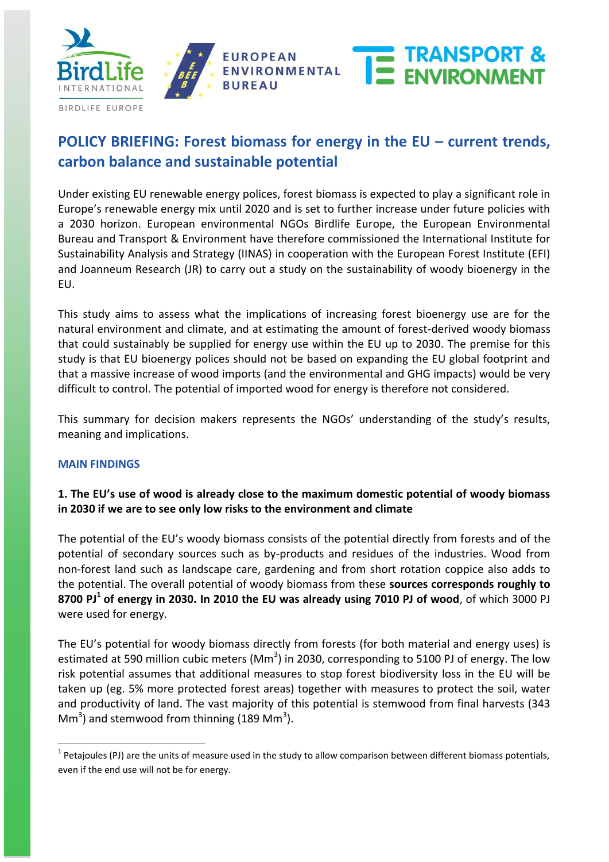





# **POLICY BRIEFING: Forest biomass for energy in the EU – current trends, carbon balance and sustainable potential**

Under existing EU renewable energy polices, forest biomass is expected to play a significant role in Europe's renewable energy mix until 2020 and is set to further increase under future policies with a 2030 horizon. European environmental NGOs Birdlife Europe, the European Environmental Bureau and Transport & Environment have therefore commissioned the International Institute for Sustainability Analysis and Strategy (IINAS) in cooperation with the European Forest Institute (EFI) and Joanneum Research (JR) to carry out a study on the sustainability of woody bioenergy in the EU.

This study aims to assess what the implications of increasing forest bioenergy use are for the natural environment and climate, and at estimating the amount of forest-derived woody biomass that could sustainably be supplied for energy use within the EU up to 2030. The premise for this study is that EU bioenergy polices should not be based on expanding the EU global footprint and that a massive increase of wood imports (and the environmental and GHG impacts) would be very difficult to control. The potential of imported wood for energy is therefore not considered.

This summary for decision makers represents the NGOs' understanding of the study's results, meaning and implications.

# **MAIN FINDINGS**

1

# **1. The EU's use of wood is already close to the maximum domestic potential of woody biomass in 2030 if we are to see only low risks to the environment and climate**

The potential of the EU's woody biomass consists of the potential directly from forests and of the potential of secondary sources such as by-products and residues of the industries. Wood from non-forest land such as landscape care, gardening and from short rotation coppice also adds to the potential. The overall potential of woody biomass from these **sources corresponds roughly to 8700 PJ<sup>1</sup> of energy in 2030. In 2010 the EU was already using 7010 PJ of wood**, of which 3000 PJ were used for energy.

The EU's potential for woody biomass directly from forests (for both material and energy uses) is estimated at 590 million cubic meters (Mm<sup>3</sup>) in 2030, corresponding to 5100 PJ of energy. The low risk potential assumes that additional measures to stop forest biodiversity loss in the EU will be taken up (eg. 5% more protected forest areas) together with measures to protect the soil, water and productivity of land. The vast majority of this potential is stemwood from final harvests (343  $\text{Mm}^3$ ) and stemwood from thinning (189 Mm<sup>3</sup>).

 $1$  Petajoules (PJ) are the units of measure used in the study to allow comparison between different biomass potentials, even if the end use will not be for energy.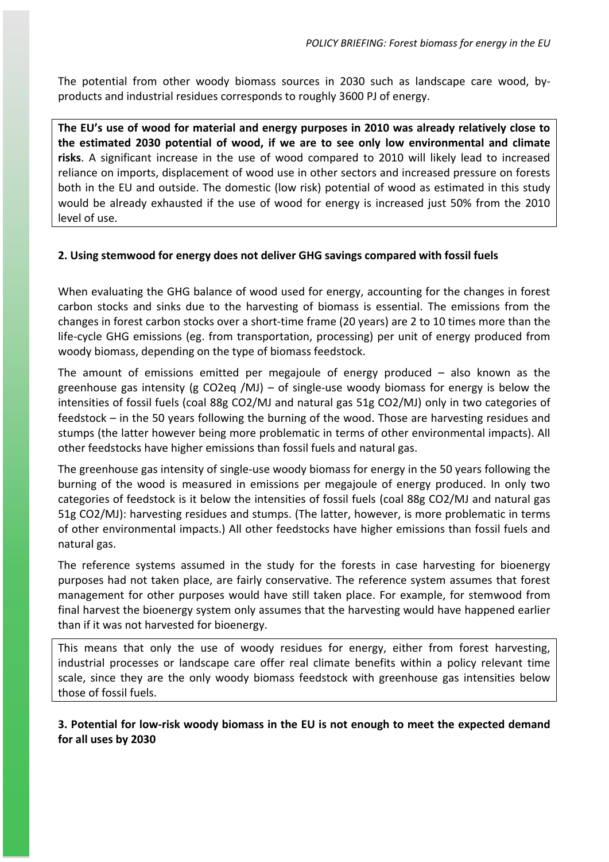The potential from other woody biomass sources in 2030 such as landscape care wood, byproducts and industrial residues corresponds to roughly 3600 PJ of energy.

**The EU's use of wood for material and energy purposes in 2010 was already relatively close to the estimated 2030 potential of wood, if we are to see only low environmental and climate risks**. A significant increase in the use of wood compared to 2010 will likely lead to increased reliance on imports, displacement of wood use in other sectors and increased pressure on forests both in the EU and outside. The domestic (low risk) potential of wood as estimated in this study would be already exhausted if the use of wood for energy is increased just 50% from the 2010 level of use.

### **2. Using stemwood for energy does not deliver GHG savings compared with fossil fuels**

When evaluating the GHG balance of wood used for energy, accounting for the changes in forest carbon stocks and sinks due to the harvesting of biomass is essential. The emissions from the changes in forest carbon stocks over a short-time frame (20 years) are 2 to 10 times more than the life-cycle GHG emissions (eg. from transportation, processing) per unit of energy produced from woody biomass, depending on the type of biomass feedstock.

The amount of emissions emitted per megajoule of energy produced – also known as the greenhouse gas intensity (g CO2eq /MJ) – of single-use woody biomass for energy is below the intensities of fossil fuels (coal 88g CO2/MJ and natural gas 51g CO2/MJ) only in two categories of feedstock – in the 50 years following the burning of the wood. Those are harvesting residues and stumps (the latter however being more problematic in terms of other environmental impacts). All other feedstocks have higher emissions than fossil fuels and natural gas.

The greenhouse gas intensity of single-use woody biomass for energy in the 50 years following the burning of the wood is measured in emissions per megajoule of energy produced. In only two categories of feedstock is it below the intensities of fossil fuels (coal 88g CO2/MJ and natural gas 51g CO2/MJ): harvesting residues and stumps. (The latter, however, is more problematic in terms of other environmental impacts.) All other feedstocks have higher emissions than fossil fuels and natural gas.

The reference systems assumed in the study for the forests in case harvesting for bioenergy purposes had not taken place, are fairly conservative. The reference system assumes that forest management for other purposes would have still taken place. For example, for stemwood from final harvest the bioenergy system only assumes that the harvesting would have happened earlier than if it was not harvested for bioenergy.

This means that only the use of woody residues for energy, either from forest harvesting, industrial processes or landscape care offer real climate benefits within a policy relevant time scale, since they are the only woody biomass feedstock with greenhouse gas intensities below those of fossil fuels.

**3. Potential for low-risk woody biomass in the EU is not enough to meet the expected demand for all uses by 2030**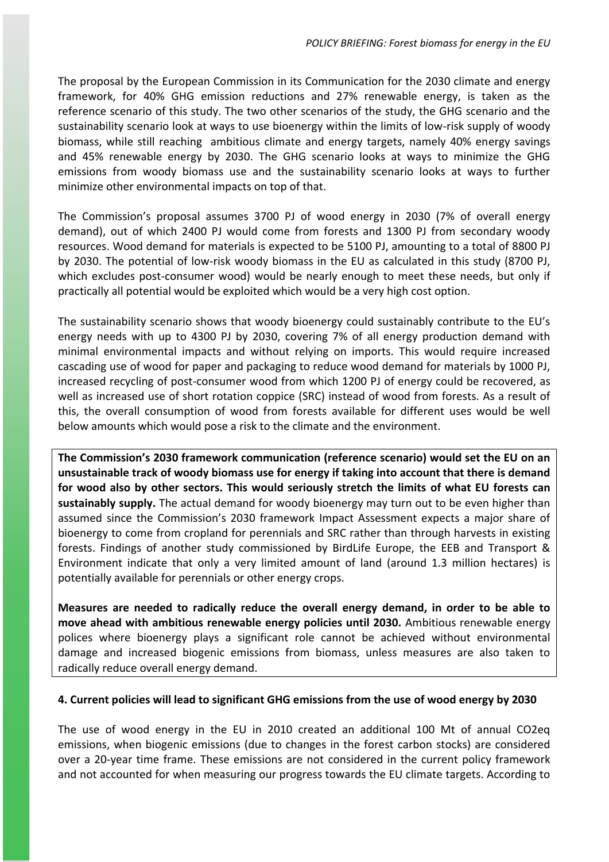The proposal by the European Commission in its Communication for the 2030 climate and energy framework, for 40% GHG emission reductions and 27% renewable energy, is taken as the reference scenario of this study. The two other scenarios of the study, the GHG scenario and the sustainability scenario look at ways to use bioenergy within the limits of low-risk supply of woody biomass, while still reaching ambitious climate and energy targets, namely 40% energy savings and 45% renewable energy by 2030. The GHG scenario looks at ways to minimize the GHG emissions from woody biomass use and the sustainability scenario looks at ways to further minimize other environmental impacts on top of that.

The Commission's proposal assumes 3700 PJ of wood energy in 2030 (7% of overall energy demand), out of which 2400 PJ would come from forests and 1300 PJ from secondary woody resources. Wood demand for materials is expected to be 5100 PJ, amounting to a total of 8800 PJ by 2030. The potential of low-risk woody biomass in the EU as calculated in this study (8700 PJ, which excludes post-consumer wood) would be nearly enough to meet these needs, but only if practically all potential would be exploited which would be a very high cost option.

The sustainability scenario shows that woody bioenergy could sustainably contribute to the EU's energy needs with up to 4300 PJ by 2030, covering 7% of all energy production demand with minimal environmental impacts and without relying on imports. This would require increased cascading use of wood for paper and packaging to reduce wood demand for materials by 1000 PJ, increased recycling of post-consumer wood from which 1200 PJ of energy could be recovered, as well as increased use of short rotation coppice (SRC) instead of wood from forests. As a result of this, the overall consumption of wood from forests available for different uses would be well below amounts which would pose a risk to the climate and the environment.

**The Commission's 2030 framework communication (reference scenario) would set the EU on an unsustainable track of woody biomass use for energy if taking into account that there is demand for wood also by other sectors. This would seriously stretch the limits of what EU forests can sustainably supply.** The actual demand for woody bioenergy may turn out to be even higher than assumed since the Commission's 2030 framework Impact Assessment expects a major share of bioenergy to come from cropland for perennials and SRC rather than through harvests in existing forests. Findings of another study commissioned by BirdLife Europe, the EEB and Transport & Environment indicate that only a very limited amount of land (around 1.3 million hectares) is potentially available for perennials or other energy crops.

**Measures are needed to radically reduce the overall energy demand, in order to be able to move ahead with ambitious renewable energy policies until 2030.** Ambitious renewable energy polices where bioenergy plays a significant role cannot be achieved without environmental damage and increased biogenic emissions from biomass, unless measures are also taken to radically reduce overall energy demand.

# **4. Current policies will lead to significant GHG emissions from the use of wood energy by 2030**

The use of wood energy in the EU in 2010 created an additional 100 Mt of annual CO2eq emissions, when biogenic emissions (due to changes in the forest carbon stocks) are considered over a 20-year time frame. These emissions are not considered in the current policy framework and not accounted for when measuring our progress towards the EU climate targets. According to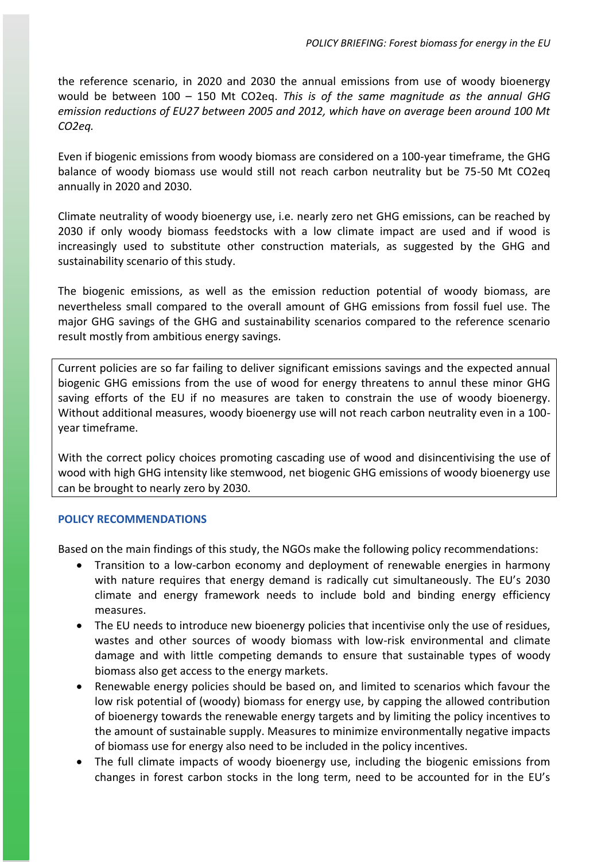the reference scenario, in 2020 and 2030 the annual emissions from use of woody bioenergy would be between 100 – 150 Mt CO2eq. *This is of the same magnitude as the annual GHG emission reductions of EU27 between 2005 and 2012, which have on average been around 100 Mt CO2eq.*

Even if biogenic emissions from woody biomass are considered on a 100-year timeframe, the GHG balance of woody biomass use would still not reach carbon neutrality but be 75-50 Mt CO2eq annually in 2020 and 2030.

Climate neutrality of woody bioenergy use, i.e. nearly zero net GHG emissions, can be reached by 2030 if only woody biomass feedstocks with a low climate impact are used and if wood is increasingly used to substitute other construction materials, as suggested by the GHG and sustainability scenario of this study.

The biogenic emissions, as well as the emission reduction potential of woody biomass, are nevertheless small compared to the overall amount of GHG emissions from fossil fuel use. The major GHG savings of the GHG and sustainability scenarios compared to the reference scenario result mostly from ambitious energy savings.

Current policies are so far failing to deliver significant emissions savings and the expected annual biogenic GHG emissions from the use of wood for energy threatens to annul these minor GHG saving efforts of the EU if no measures are taken to constrain the use of woody bioenergy. Without additional measures, woody bioenergy use will not reach carbon neutrality even in a 100 year timeframe.

With the correct policy choices promoting cascading use of wood and disincentivising the use of wood with high GHG intensity like stemwood, net biogenic GHG emissions of woody bioenergy use can be brought to nearly zero by 2030.

### **POLICY RECOMMENDATIONS**

Based on the main findings of this study, the NGOs make the following policy recommendations:

- Transition to a low-carbon economy and deployment of renewable energies in harmony with nature requires that energy demand is radically cut simultaneously. The EU's 2030 climate and energy framework needs to include bold and binding energy efficiency measures.
- The EU needs to introduce new bioenergy policies that incentivise only the use of residues, wastes and other sources of woody biomass with low-risk environmental and climate damage and with little competing demands to ensure that sustainable types of woody biomass also get access to the energy markets.
- Renewable energy policies should be based on, and limited to scenarios which favour the low risk potential of (woody) biomass for energy use, by capping the allowed contribution of bioenergy towards the renewable energy targets and by limiting the policy incentives to the amount of sustainable supply. Measures to minimize environmentally negative impacts of biomass use for energy also need to be included in the policy incentives.
- The full climate impacts of woody bioenergy use, including the biogenic emissions from changes in forest carbon stocks in the long term, need to be accounted for in the EU's